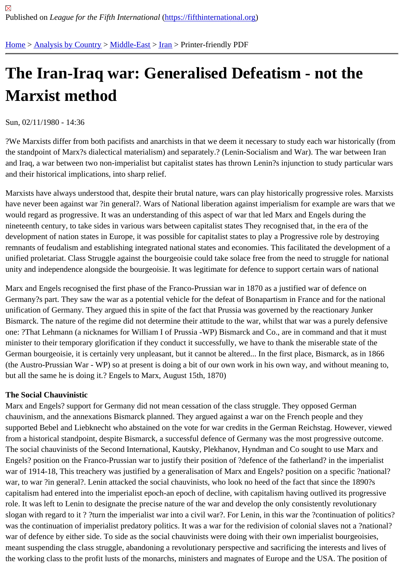# [The](https://fifthinternational.org/) [Iran-Iraq](https://fifthinternational.org/category/1) [war: G](https://fifthinternational.org/category/1/178)[ene](https://fifthinternational.org/category/1/178/182)ralised Defeatism - not the Marxist method

Sun, 02/11/1980 - 14:36

?We Marxists differ from both pacifists and anarchists in that we deem it necessary to study each war historically ( the standpoint of Marx?s dialectical materialism) and separately.? (Lenin-Socialism and War). The war between Ir and Iraq, a war between two non-imperialist but capitalist states has thrown Lenin?s injunction to study particular w and their historical implications, into sharp relief.

Marxists have always understood that, despite their brutal nature, wars can play historically progressive roles. Mar have never been against war ?in general?. Wars of National liberation against imperialism for example are wars th would regard as progressive. It was an understanding of this aspect of war that led Marx and Engels during the nineteenth century, to take sides in various wars between capitalist states They recognised that, in the era of the development of nation states in Europe, it was possible for capitalist states to play a Progressive role by destroying remnants of feudalism and establishing integrated national states and economies. This facilitated the development unified proletariat. Class Struggle against the bourgeoisie could take solace free from the need to struggle for national unity and independence alongside the bourgeoisie. It was legitimate for defence to support certain wars of national

Marx and Engels recognised the first phase of the Franco-Prussian war in 1870 as a justified war of defence on Germany?s part. They saw the war as a potential vehicle for the defeat of Bonapartism in France and for the natio unification of Germany. They argued this in spite of the fact that Prussia was governed by the reactionary Junker Bismarck. The nature of the regime did not determine their attitude to the war, whilst that war was a purely defensi one: ?That Lehmann (a nicknames for William I of Prussia -WP) Bismarck and Co., are in command and that it mu minister to their temporary glorification if they conduct it successfully, we have to thank the miserable state of the German bourgeoisie, it is certainly very unpleasant, but it cannot be altered... In the first place, Bismarck, as in 1866 (the Austro-Prussian War - WP) so at present is doing a bit of our own work in his own way, and without meaning t but all the same he is doing it.? Engels to Marx, August 15th, 1870)

# The Social Chauvinistic

Marx and Engels? support for Germany did not mean cessation of the class struggle. They opposed German chauvinism, and the annexations Bismarck planned. They argued against a war on the French people and they supported Bebel and Liebknecht who abstained on the vote for war credits in the German Reichstag. However, vie from a historical standpoint, despite Bismarck, a successful defence of Germany was the most progressive outcon The social chauvinists of the Second International, Kautsky, Plekhanov, Hyndman and Co sought to use Marx and Engels? position on the Franco-Prussian war to justify their position of ?defence of the fatherland? in the imperialist war of 1914-18, This treachery was justified by a generalisation of Marx and Engels? position on a specific ?natior war, to war ?in general?. Lenin attacked the social chauvinists, who look no heed of the fact that since the 1890?s capitalism had entered into the imperialist epoch-an epoch of decline, with capitalism having outlived its progressiv role. It was left to Lenin to designate the precise nature of the war and develop the only consistently revolutionary slogan with regard to it ? ?turn the imperialist war into a civil war?. For Lenin, in this war the ?continuation of politic was the continuation of imperialist predatory politics. It was a war for the redivision of colonial slaves not a ?nation war of defence by either side. To side as the social chauvinists were doing with their own imperialist bourgeoisies, meant suspending the class struggle, abandoning a revolutionary perspective and sacrificing the interests and live the working class to the profit lusts of the monarchs, ministers and magnates of Europe and the USA. The positior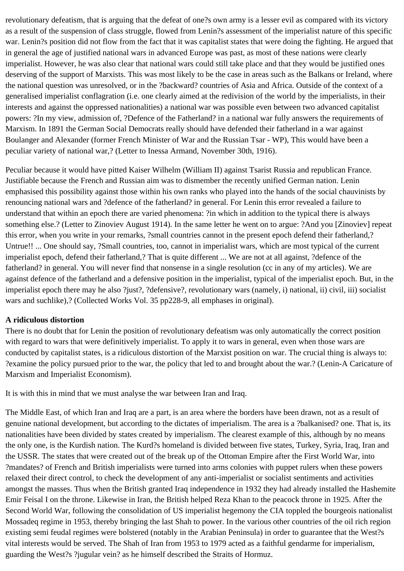revolutionary defeatism, that is arguing that the defeat of one?s own army is a lesser evil as compared with its victory as a result of the suspension of class struggle, flowed from Lenin?s assessment of the imperialist nature of this specific war. Lenin?s position did not flow from the fact that it was capitalist states that were doing the fighting. He argued that in general the age of justified national wars in advanced Europe was past, as most of these nations were clearly imperialist. However, he was also clear that national wars could still take place and that they would be justified ones deserving of the support of Marxists. This was most likely to be the case in areas such as the Balkans or Ireland, where the national question was unresolved, or in the ?backward? countries of Asia and Africa. Outside of the context of a generalised imperialist conflagration (i.e. one clearly aimed at the redivision of the world by the imperialists, in their interests and against the oppressed nationalities) a national war was possible even between two advanced capitalist powers: ?In my view, admission of, ?Defence of the Fatherland? in a national war fully answers the requirements of Marxism. In 1891 the German Social Democrats really should have defended their fatherland in a war against Boulanger and Alexander (former French Minister of War and the Russian Tsar - WP), This would have been a peculiar variety of national war,? (Letter to Inessa Armand, November 30th, 1916).

Peculiar because it would have pitted Kaiser Wilhelm (William II) against Tsarist Russia and republican France. Justifiable because the French and Russian aim was to dismember the recently unified German nation. Lenin emphasised this possibility against those within his own ranks who played into the hands of the social chauvinists by renouncing national wars and ?defence of the fatherland? in general. For Lenin this error revealed a failure to understand that within an epoch there are varied phenomena: ?in which in addition to the typical there is always something else.? (Letter to Zinoviev August 1914). In the same letter he went on to argue: ?And you [Zinoviev] repeat this error, when you write in your remarks, ?small countries cannot in the present epoch defend their fatherland,? Untrue!! ... One should say, ?Small countries, too, cannot in imperialist wars, which are most typical of the current imperialist epoch, defend their fatherland,? That is quite different ... We are not at all against, ?defence of the fatherland? in general. You will never find that nonsense in a single resolution (cc in any of my articles). We are against defence of the fatherland and a defensive position in the imperialist, typical of the imperialist epoch. But, in the imperialist epoch there may he also ?just?, ?defensive?, revolutionary wars (namely, i) national, ii) civil, iii) socialist wars and suchlike),? (Collected Works Vol. 35 pp228-9, all emphases in original).

# **A ridiculous distortion**

There is no doubt that for Lenin the position of revolutionary defeatism was only automatically the correct position with regard to wars that were definitively imperialist. To apply it to wars in general, even when those wars are conducted by capitalist states, is a ridiculous distortion of the Marxist position on war. The crucial thing is always to: ?examine the policy pursued prior to the war, the policy that led to and brought about the war.? (Lenin-A Caricature of Marxism and Imperialist Economism).

It is with this in mind that we must analyse the war between Iran and Iraq.

The Middle East, of which Iran and Iraq are a part, is an area where the borders have been drawn, not as a result of genuine national development, but according to the dictates of imperialism. The area is a ?balkanised? one. That is, its nationalities have been divided by states created by imperialism. The clearest example of this, although by no means the only one, is the Kurdish nation. The Kurd?s homeland is divided between five states, Turkey, Syria, Iraq, Iran and the USSR. The states that were created out of the break up of the Ottoman Empire after the First World War, into ?mandates? of French and British imperialists were turned into arms colonies with puppet rulers when these powers relaxed their direct control, to check the development of any anti-imperialist or socialist sentiments and activities amongst the masses. Thus when the British granted Iraq independence in 1932 they had already installed the Hashemite Emir Feisal I on the throne. Likewise in Iran, the British helped Reza Khan to the peacock throne in 1925. After the Second World War, following the consolidation of US imperialist hegemony the CIA toppled the bourgeois nationalist Mossadeq regime in 1953, thereby bringing the last Shah to power. In the various other countries of the oil rich region existing semi feudal regimes were bolstered (notably in the Arabian Peninsula) in order to guarantee that the West?s vital interests would be served. The Shah of Iran from 1953 to 1979 acted as a faithful gendarme for imperialism, guarding the West?s ?jugular vein? as he himself described the Straits of Hormuz.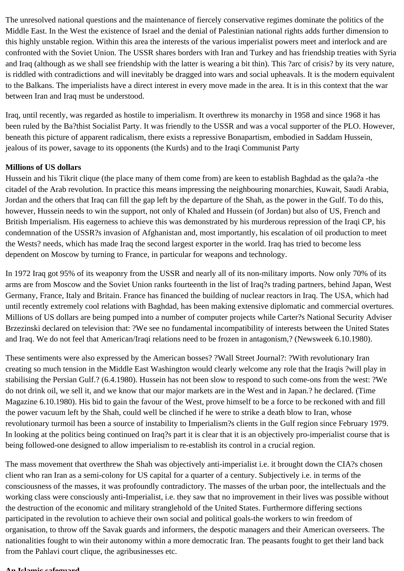The unresolved national questions and the maintenance of fiercely conservative regimes dominate the politics of the Middle East. In the West the existence of Israel and the denial of Palestinian national rights adds further dimension to this highly unstable region. Within this area the interests of the various imperialist powers meet and interlock and are confronted with the Soviet Union. The USSR shares borders with Iran and Turkey and has friendship treaties with Syria and Iraq (although as we shall see friendship with the latter is wearing a bit thin). This ?arc of crisis? by its very nature, is riddled with contradictions and will inevitably be dragged into wars and social upheavals. It is the modern equivalent to the Balkans. The imperialists have a direct interest in every move made in the area. It is in this context that the war between Iran and Iraq must be understood.

Iraq, until recently, was regarded as hostile to imperialism. It overthrew its monarchy in 1958 and since 1968 it has been ruled by the Ba?thist Socialist Party. It was friendly to the USSR and was a vocal supporter of the PLO. However, beneath this picture of apparent radicalism, there exists a repressive Bonapartism, embodied in Saddam Hussein, jealous of its power, savage to its opponents (the Kurds) and to the Iraqi Communist Party

# **Millions of US dollars**

Hussein and his Tikrit clique (the place many of them come from) are keen to establish Baghdad as the qala?a -the citadel of the Arab revolution. In practice this means impressing the neighbouring monarchies, Kuwait, Saudi Arabia, Jordan and the others that Iraq can fill the gap left by the departure of the Shah, as the power in the Gulf. To do this, however, Hussein needs to win the support, not only of Khaled and Hussein (of Jordan) but also of US, French and British Imperialism. His eagerness to achieve this was demonstrated by his murderous repression of the Iraqi CP, his condemnation of the USSR?s invasion of Afghanistan and, most importantly, his escalation of oil production to meet the Wests? needs, which has made Iraq the second largest exporter in the world. Iraq has tried to become less dependent on Moscow by turning to France, in particular for weapons and technology.

In 1972 Iraq got 95% of its weaponry from the USSR and nearly all of its non-military imports. Now only 70% of its arms are from Moscow and the Soviet Union ranks fourteenth in the list of Iraq?s trading partners, behind Japan, West Germany, France, Italy and Britain. France has financed the building of nuclear reactors in Iraq. The USA, which had until recently extremely cool relations with Baghdad, has been making extensive diplomatic and commercial overtures. Millions of US dollars are being pumped into a number of computer projects while Carter?s National Security Adviser Brzezinski declared on television that: ?We see no fundamental incompatibility of interests between the United States and Iraq. We do not feel that American/Iraqi relations need to be frozen in antagonism,? (Newsweek 6.10.1980).

These sentiments were also expressed by the American bosses? ?Wall Street Journal?: ?With revolutionary Iran creating so much tension in the Middle East Washington would clearly welcome any role that the Iraqis ?will play in stabilising the Persian Gulf.? (6.4.1980). Hussein has not been slow to respond to such come-ons from the west: ?We do not drink oil, we sell it, and we know that our major markets are in the West and in Japan.? he declared. (Time Magazine 6.10.1980). His bid to gain the favour of the West, prove himself to be a force to be reckoned with and fill the power vacuum left by the Shah, could well be clinched if he were to strike a death blow to Iran, whose revolutionary turmoil has been a source of instability to Imperialism?s clients in the Gulf region since February 1979. In looking at the politics being continued on Iraq?s part it is clear that it is an objectively pro-imperialist course that is being followed-one designed to allow imperialism to re-establish its control in a crucial region.

The mass movement that overthrew the Shah was objectively anti-imperialist i.e. it brought down the CIA?s chosen client who ran Iran as a semi-colony for US capital for a quarter of a century. Subjectively i.e. in terms of the consciousness of the masses, it was profoundly contradictory. The masses of the urban poor, the intellectuals and the working class were consciously anti-Imperialist, i.e. they saw that no improvement in their lives was possible without the destruction of the economic and military stranglehold of the United States. Furthermore differing sections participated in the revolution to achieve their own social and political goals-the workers to win freedom of organisation, to throw off the Savak guards and informers, the despotic managers and their American overseers. The nationalities fought to win their autonomy within a more democratic Iran. The peasants fought to get their land back from the Pahlavi court clique, the agribusinesses etc.

#### **An Islamic safeguard**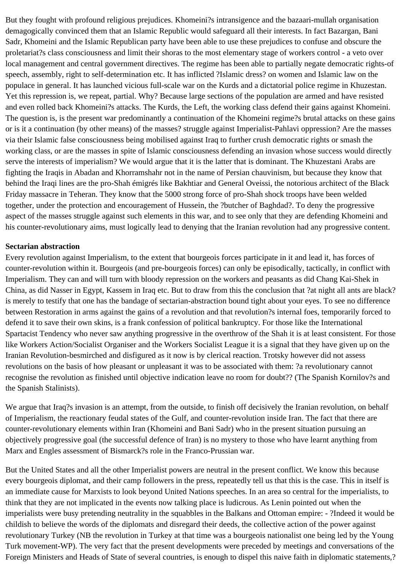But they fought with profound religious prejudices. Khomeini?s intransigence and the bazaari-mullah organisation demagogically convinced them that an Islamic Republic would safeguard all their interests. In fact Bazargan, Bani Sadr, Khomeini and the Islamic Republican party have been able to use these prejudices to confuse and obscure the proletariat?s class consciousness and limit their shoras to the most elementary stage of workers control - a veto over local management and central government directives. The regime has been able to partially negate democratic rights-of speech, assembly, right to self-determination etc. It has inflicted ?Islamic dress? on women and Islamic law on the populace in general. It has launched vicious full-scale war on the Kurds and a dictatorial police regime in Khuzestan. Yet this repression is, we repeat, partial. Why? Because large sections of the population are armed and have resisted and even rolled back Khomeini?s attacks. The Kurds, the Left, the working class defend their gains against Khomeini. The question is, is the present war predominantly a continuation of the Khomeini regime?s brutal attacks on these gains or is it a continuation (by other means) of the masses? struggle against Imperialist-Pahlavi oppression? Are the masses via their Islamic false consciousness being mobilised against Iraq to further crush democratic rights or smash the working class, or are the masses in spite of Islamic consciousness defending an invasion whose success would directly serve the interests of imperialism? We would argue that it is the latter that is dominant. The Khuzestani Arabs are fighting the Iraqis in Abadan and Khorramshahr not in the name of Persian chauvinism, but because they know that behind the Iraqi lines are the pro-Shah émigrés like Bakhtiar and General Oveissi, the notorious architect of the Black Friday massacre in Teheran. They know that the 5000 strong force of pro-Shah shock troops have been welded together, under the protection and encouragement of Hussein, the ?butcher of Baghdad?. To deny the progressive aspect of the masses struggle against such elements in this war, and to see only that they are defending Khomeini and his counter-revolutionary aims, must logically lead to denying that the Iranian revolution had any progressive content.

### **Sectarian abstraction**

Every revolution against Imperialism, to the extent that bourgeois forces participate in it and lead it, has forces of counter-revolution within it. Bourgeois (and pre-bourgeois forces) can only be episodically, tactically, in conflict with Imperialism. They can and will turn with bloody repression on the workers and peasants as did Chang Kai-Shek in China, as did Nasser in Egypt, Kassem in Iraq etc. But to draw from this the conclusion that ?at night all ants are black? is merely to testify that one has the bandage of sectarian-abstraction bound tight about your eyes. To see no difference between Restoration in arms against the gains of a revolution and that revolution?s internal foes, temporarily forced to defend it to save their own skins, is a frank confession of political bankruptcy. For those like the International Spartacist Tendency who never saw anything progressive in the overthrow of the Shah it is at least consistent. For those like Workers Action/Socialist Organiser and the Workers Socialist League it is a signal that they have given up on the Iranian Revolution-besmirched and disfigured as it now is by clerical reaction. Trotsky however did not assess revolutions on the basis of how pleasant or unpleasant it was to be associated with them: ?a revolutionary cannot recognise the revolution as finished until objective indication leave no room for doubt?? (The Spanish Kornilov?s and the Spanish Stalinists).

We argue that Iraq?s invasion is an attempt, from the outside, to finish off decisively the Iranian revolution, on behalf of Imperialism, the reactionary feudal states of the Gulf, and counter-revolution inside Iran. The fact that there are counter-revolutionary elements within Iran (Khomeini and Bani Sadr) who in the present situation pursuing an objectively progressive goal (the successful defence of Iran) is no mystery to those who have learnt anything from Marx and Engles assessment of Bismarck?s role in the Franco-Prussian war.

But the United States and all the other Imperialist powers are neutral in the present conflict. We know this because every bourgeois diplomat, and their camp followers in the press, repeatedly tell us that this is the case. This in itself is an immediate cause for Marxists to look beyond United Nations speeches. In an area so central for the imperialists, to think that they are not implicated in the events now talking place is ludicrous. As Lenin pointed out when the imperialists were busy pretending neutrality in the squabbles in the Balkans and Ottoman empire: - ?Indeed it would be childish to believe the words of the diplomats and disregard their deeds, the collective action of the power against revolutionary Turkey (NB the revolution in Turkey at that time was a bourgeois nationalist one being led by the Young Turk movement-WP). The very fact that the present developments were preceded by meetings and conversations of the Foreign Ministers and Heads of State of several countries, is enough to dispel this naive faith in diplomatic statements,?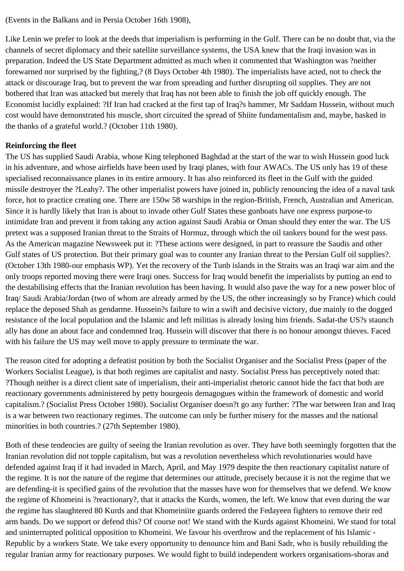(Events in the Balkans and in Persia October 16th 1908),

Like Lenin we prefer to look at the deeds that imperialism is performing in the Gulf. There can be no doubt that, via the channels of secret diplomacy and their satellite surveillance systems, the USA knew that the Iraqi invasion was in preparation. Indeed the US State Department admitted as much when it commented that Washington was ?neither forewarned nor surprised by the fighting,? (8 Days October 4th 1980). The imperialists have acted, not to check the attack or discourage Iraq, but to prevent the war from spreading and further disrupting oil supplies. They are not bothered that Iran was attacked but merely that Iraq has not been able to finish the job off quickly enough. The Economist lucidly explained: ?If Iran had cracked at the first tap of Iraq?s hammer, Mr Saddam Hussein, without much cost would have demonstrated his muscle, short circuited the spread of Shiite fundamentalism and, maybe, basked in the thanks of a grateful world.? (October 11th 1980).

# **Reinforcing the fleet**

The US has supplied Saudi Arabia, whose King telephoned Baghdad at the start of the war to wish Hussein good luck in his adventure, and whose airfields have been used by Iraqi planes, with four AWACs. The US only has 19 of these specialised reconnaissance planes in its entire armoury. It has also reinforced its fleet in the Gulf with the guided missile destroyer the ?Leahy?. The other imperialist powers have joined in, publicly renouncing the idea of a naval task force, hot to practice creating one. There are 150w 58 warships in the region-British, French, Australian and American. Since it is hardly likely that Iran is about to invade other Gulf States these gunboats have one express purpose-to intimidate Iran and prevent it from taking any action against Saudi Arabia or Oman should they enter the war. The US pretext was a supposed Iranian threat to the Straits of Hormuz, through which the oil tankers bound for the west pass. As the American magazine Newsweek put it: ?These actions were designed, in part to reassure the Saudis and other Gulf states of US protection. But their primary goal was to counter any Iranian threat to the Persian Gulf oil supplies?. (October 13th 1980-our emphasis WP). Yet the recovery of the Tunb islands in the Straits was an Iraqi war aim and the only troops reported moving there were Iraqi ones. Success for Iraq would benefit the imperialists by putting an end to the destabilising effects that the Iranian revolution has been having. It would also pave the way for a new power bloc of Iraq/ Saudi Arabia/Jordan (two of whom are already armed by the US, the other increasingly so by France) which could replace the deposed Shah as gendarme. Hussein?s failure to win a swift and decisive victory, due mainly to the dogged resistance of the local population and the Islamic and left militias is already losing him friends. Sadat-the US?s staunch ally has done an about face and condemned Iraq. Hussein will discover that there is no honour amongst thieves. Faced with his failure the US may well move to apply pressure to terminate the war.

The reason cited for adopting a defeatist position by both the Socialist Organiser and the Socialist Press (paper of the Workers Socialist League), is that both regimes are capitalist and nasty. Socialist Press has perceptively noted that: ?Though neither is a direct client sate of imperialism, their anti-imperialist rhetoric cannot hide the fact that both are reactionary governments administered by petty bourgeois demagogues within the framework of domestic and world capitalism.? (Socialist Press October 1980). Socialist Organiser doesn?t go any further: ?The war between Iran and Iraq is a war between two reactionary regimes. The outcome can only be further misery for the masses and the national minorities in both countries.? (27th September 1980).

Both of these tendencies are guilty of seeing the Iranian revolution as over. They have both seemingly forgotten that the Iranian revolution did not topple capitalism, but was a revolution nevertheless which revolutionaries would have defended against Iraq if it had invaded in March, April, and May 1979 despite the then reactionary capitalist nature of the regime. It is not the nature of the regime that determines our attitude, precisely because it is not the regime that we are defending-it is specified gains of the revolution that the masses have won for themselves that we defend. We know the regime of Khomeini is ?reactionary?, that it attacks the Kurds, women, the left. We know that even during the war the regime has slaughtered 80 Kurds and that Khomeiniite guards ordered the Fedayeen fighters to remove their red arm bands. Do we support or defend this? Of course not! We stand with the Kurds against Khomeini. We stand for total and uninterrupted political opposition to Khomeini. We favour his overthrow and the replacement of his Islamic - Republic by a workers State. We take every opportunity to denounce him and Bani Sadr, who is busily rebuilding the regular Iranian army for reactionary purposes. We would fight to build independent workers organisations-shoras and